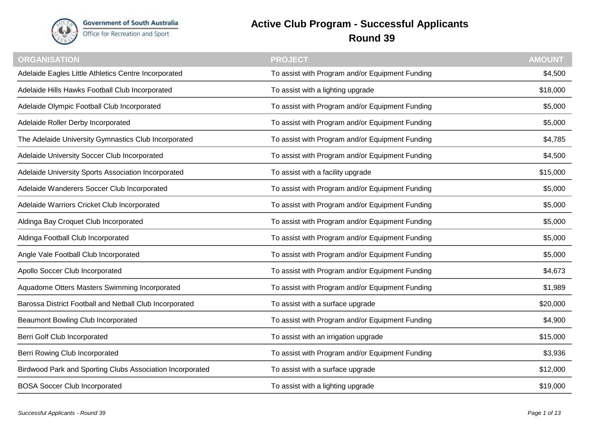

**Government of South Australia** Office for Recreation and Sport

## **Active Club Program - Successful Applicants Round 39**

| <b>ORGANISATION</b>                                       | <b>PROJECT</b>                                  | <b>AMOUNT</b> |
|-----------------------------------------------------------|-------------------------------------------------|---------------|
| Adelaide Eagles Little Athletics Centre Incorporated      | To assist with Program and/or Equipment Funding | \$4,500       |
| Adelaide Hills Hawks Football Club Incorporated           | To assist with a lighting upgrade               | \$18,000      |
| Adelaide Olympic Football Club Incorporated               | To assist with Program and/or Equipment Funding | \$5,000       |
| Adelaide Roller Derby Incorporated                        | To assist with Program and/or Equipment Funding | \$5,000       |
| The Adelaide University Gymnastics Club Incorporated      | To assist with Program and/or Equipment Funding | \$4,785       |
| Adelaide University Soccer Club Incorporated              | To assist with Program and/or Equipment Funding | \$4,500       |
| Adelaide University Sports Association Incorporated       | To assist with a facility upgrade               | \$15,000      |
| Adelaide Wanderers Soccer Club Incorporated               | To assist with Program and/or Equipment Funding | \$5,000       |
| Adelaide Warriors Cricket Club Incorporated               | To assist with Program and/or Equipment Funding | \$5,000       |
| Aldinga Bay Croquet Club Incorporated                     | To assist with Program and/or Equipment Funding | \$5,000       |
| Aldinga Football Club Incorporated                        | To assist with Program and/or Equipment Funding | \$5,000       |
| Angle Vale Football Club Incorporated                     | To assist with Program and/or Equipment Funding | \$5,000       |
| Apollo Soccer Club Incorporated                           | To assist with Program and/or Equipment Funding | \$4,673       |
| Aquadome Otters Masters Swimming Incorporated             | To assist with Program and/or Equipment Funding | \$1,989       |
| Barossa District Football and Netball Club Incorporated   | To assist with a surface upgrade                | \$20,000      |
| Beaumont Bowling Club Incorporated                        | To assist with Program and/or Equipment Funding | \$4,900       |
| Berri Golf Club Incorporated                              | To assist with an irrigation upgrade            | \$15,000      |
| Berri Rowing Club Incorporated                            | To assist with Program and/or Equipment Funding | \$3,936       |
| Birdwood Park and Sporting Clubs Association Incorporated | To assist with a surface upgrade                | \$12,000      |
| <b>BOSA Soccer Club Incorporated</b>                      | To assist with a lighting upgrade               | \$19,000      |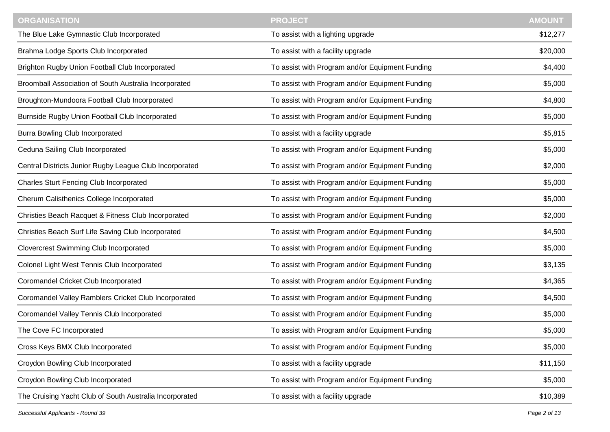| <b>ORGANISATION</b>                                     | <b>PROJECT</b>                                  | <b>AMOUNT</b> |
|---------------------------------------------------------|-------------------------------------------------|---------------|
| The Blue Lake Gymnastic Club Incorporated               | To assist with a lighting upgrade               | \$12,277      |
| Brahma Lodge Sports Club Incorporated                   | To assist with a facility upgrade               | \$20,000      |
| Brighton Rugby Union Football Club Incorporated         | To assist with Program and/or Equipment Funding | \$4,400       |
| Broomball Association of South Australia Incorporated   | To assist with Program and/or Equipment Funding | \$5,000       |
| Broughton-Mundoora Football Club Incorporated           | To assist with Program and/or Equipment Funding | \$4,800       |
| Burnside Rugby Union Football Club Incorporated         | To assist with Program and/or Equipment Funding | \$5,000       |
| <b>Burra Bowling Club Incorporated</b>                  | To assist with a facility upgrade               | \$5,815       |
| Ceduna Sailing Club Incorporated                        | To assist with Program and/or Equipment Funding | \$5,000       |
| Central Districts Junior Rugby League Club Incorporated | To assist with Program and/or Equipment Funding | \$2,000       |
| <b>Charles Sturt Fencing Club Incorporated</b>          | To assist with Program and/or Equipment Funding | \$5,000       |
| Cherum Calisthenics College Incorporated                | To assist with Program and/or Equipment Funding | \$5,000       |
| Christies Beach Racquet & Fitness Club Incorporated     | To assist with Program and/or Equipment Funding | \$2,000       |
| Christies Beach Surf Life Saving Club Incorporated      | To assist with Program and/or Equipment Funding | \$4,500       |
| <b>Clovercrest Swimming Club Incorporated</b>           | To assist with Program and/or Equipment Funding | \$5,000       |
| Colonel Light West Tennis Club Incorporated             | To assist with Program and/or Equipment Funding | \$3,135       |
| Coromandel Cricket Club Incorporated                    | To assist with Program and/or Equipment Funding | \$4,365       |
| Coromandel Valley Ramblers Cricket Club Incorporated    | To assist with Program and/or Equipment Funding | \$4,500       |
| Coromandel Valley Tennis Club Incorporated              | To assist with Program and/or Equipment Funding | \$5,000       |
| The Cove FC Incorporated                                | To assist with Program and/or Equipment Funding | \$5,000       |
| Cross Keys BMX Club Incorporated                        | To assist with Program and/or Equipment Funding | \$5,000       |
| Croydon Bowling Club Incorporated                       | To assist with a facility upgrade               | \$11,150      |
| Croydon Bowling Club Incorporated                       | To assist with Program and/or Equipment Funding | \$5,000       |
| The Cruising Yacht Club of South Australia Incorporated | To assist with a facility upgrade               | \$10,389      |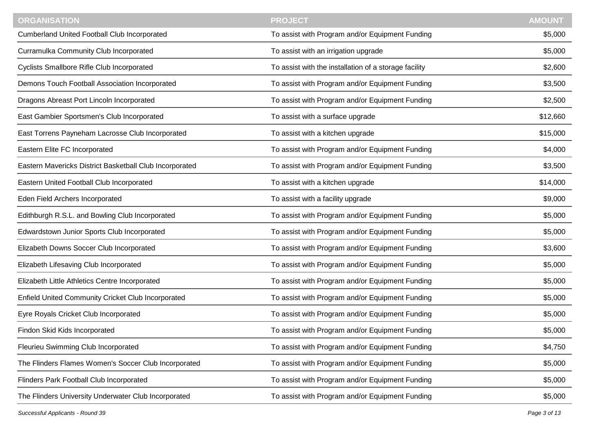| <b>ORGANISATION</b>                                     | <b>PROJECT</b>                                        | <b>AMOUNT</b> |
|---------------------------------------------------------|-------------------------------------------------------|---------------|
| <b>Cumberland United Football Club Incorporated</b>     | To assist with Program and/or Equipment Funding       | \$5,000       |
| Curramulka Community Club Incorporated                  | To assist with an irrigation upgrade                  | \$5,000       |
| Cyclists Smallbore Rifle Club Incorporated              | To assist with the installation of a storage facility | \$2,600       |
| Demons Touch Football Association Incorporated          | To assist with Program and/or Equipment Funding       | \$3,500       |
| Dragons Abreast Port Lincoln Incorporated               | To assist with Program and/or Equipment Funding       | \$2,500       |
| East Gambier Sportsmen's Club Incorporated              | To assist with a surface upgrade                      | \$12,660      |
| East Torrens Payneham Lacrosse Club Incorporated        | To assist with a kitchen upgrade                      | \$15,000      |
| Eastern Elite FC Incorporated                           | To assist with Program and/or Equipment Funding       | \$4,000       |
| Eastern Mavericks District Basketball Club Incorporated | To assist with Program and/or Equipment Funding       | \$3,500       |
| Eastern United Football Club Incorporated               | To assist with a kitchen upgrade                      | \$14,000      |
| Eden Field Archers Incorporated                         | To assist with a facility upgrade                     | \$9,000       |
| Edithburgh R.S.L. and Bowling Club Incorporated         | To assist with Program and/or Equipment Funding       | \$5,000       |
| Edwardstown Junior Sports Club Incorporated             | To assist with Program and/or Equipment Funding       | \$5,000       |
| Elizabeth Downs Soccer Club Incorporated                | To assist with Program and/or Equipment Funding       | \$3,600       |
| Elizabeth Lifesaving Club Incorporated                  | To assist with Program and/or Equipment Funding       | \$5,000       |
| Elizabeth Little Athletics Centre Incorporated          | To assist with Program and/or Equipment Funding       | \$5,000       |
| Enfield United Community Cricket Club Incorporated      | To assist with Program and/or Equipment Funding       | \$5,000       |
| Eyre Royals Cricket Club Incorporated                   | To assist with Program and/or Equipment Funding       | \$5,000       |
| Findon Skid Kids Incorporated                           | To assist with Program and/or Equipment Funding       | \$5,000       |
| Fleurieu Swimming Club Incorporated                     | To assist with Program and/or Equipment Funding       | \$4,750       |
| The Flinders Flames Women's Soccer Club Incorporated    | To assist with Program and/or Equipment Funding       | \$5,000       |
| Flinders Park Football Club Incorporated                | To assist with Program and/or Equipment Funding       | \$5,000       |
| The Flinders University Underwater Club Incorporated    | To assist with Program and/or Equipment Funding       | \$5,000       |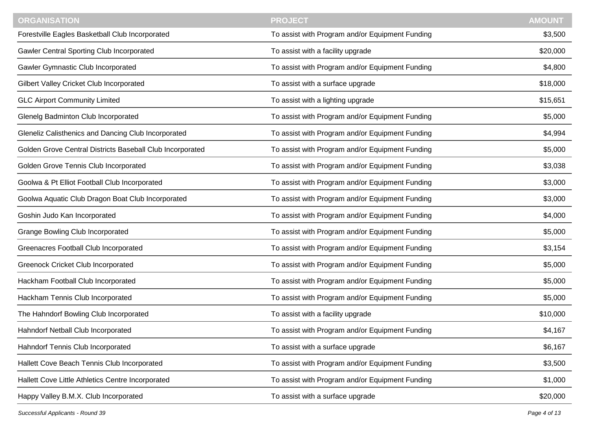| <b>ORGANISATION</b>                                       | <b>PROJECT</b>                                  | <b>AMOUNT</b> |
|-----------------------------------------------------------|-------------------------------------------------|---------------|
| Forestville Eagles Basketball Club Incorporated           | To assist with Program and/or Equipment Funding | \$3,500       |
| <b>Gawler Central Sporting Club Incorporated</b>          | To assist with a facility upgrade               | \$20,000      |
| Gawler Gymnastic Club Incorporated                        | To assist with Program and/or Equipment Funding | \$4,800       |
| Gilbert Valley Cricket Club Incorporated                  | To assist with a surface upgrade                | \$18,000      |
| <b>GLC Airport Community Limited</b>                      | To assist with a lighting upgrade               | \$15,651      |
| Glenelg Badminton Club Incorporated                       | To assist with Program and/or Equipment Funding | \$5,000       |
| Gleneliz Calisthenics and Dancing Club Incorporated       | To assist with Program and/or Equipment Funding | \$4,994       |
| Golden Grove Central Districts Baseball Club Incorporated | To assist with Program and/or Equipment Funding | \$5,000       |
| Golden Grove Tennis Club Incorporated                     | To assist with Program and/or Equipment Funding | \$3,038       |
| Goolwa & Pt Elliot Football Club Incorporated             | To assist with Program and/or Equipment Funding | \$3,000       |
| Goolwa Aquatic Club Dragon Boat Club Incorporated         | To assist with Program and/or Equipment Funding | \$3,000       |
| Goshin Judo Kan Incorporated                              | To assist with Program and/or Equipment Funding | \$4,000       |
| <b>Grange Bowling Club Incorporated</b>                   | To assist with Program and/or Equipment Funding | \$5,000       |
| Greenacres Football Club Incorporated                     | To assist with Program and/or Equipment Funding | \$3,154       |
| <b>Greenock Cricket Club Incorporated</b>                 | To assist with Program and/or Equipment Funding | \$5,000       |
| Hackham Football Club Incorporated                        | To assist with Program and/or Equipment Funding | \$5,000       |
| Hackham Tennis Club Incorporated                          | To assist with Program and/or Equipment Funding | \$5,000       |
| The Hahndorf Bowling Club Incorporated                    | To assist with a facility upgrade               | \$10,000      |
| Hahndorf Netball Club Incorporated                        | To assist with Program and/or Equipment Funding | \$4,167       |
| Hahndorf Tennis Club Incorporated                         | To assist with a surface upgrade                | \$6,167       |
| Hallett Cove Beach Tennis Club Incorporated               | To assist with Program and/or Equipment Funding | \$3,500       |
| Hallett Cove Little Athletics Centre Incorporated         | To assist with Program and/or Equipment Funding | \$1,000       |
| Happy Valley B.M.X. Club Incorporated                     | To assist with a surface upgrade                | \$20,000      |

*Successful Applicants - Round 39 Page 4 of 13*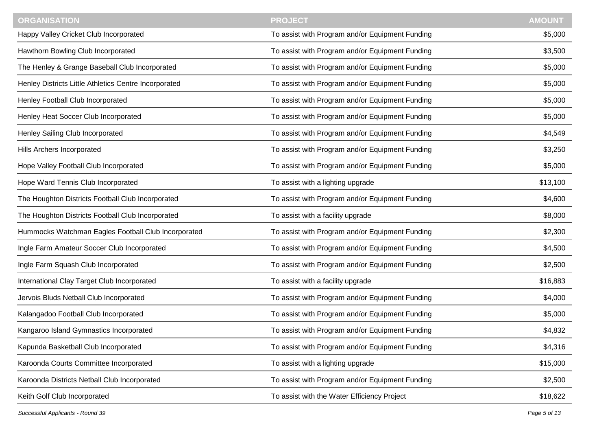| <b>ORGANISATION</b>                                   | <b>PROJECT</b>                                  | <b>AMOUNT</b> |
|-------------------------------------------------------|-------------------------------------------------|---------------|
| Happy Valley Cricket Club Incorporated                | To assist with Program and/or Equipment Funding | \$5,000       |
| Hawthorn Bowling Club Incorporated                    | To assist with Program and/or Equipment Funding | \$3,500       |
| The Henley & Grange Baseball Club Incorporated        | To assist with Program and/or Equipment Funding | \$5,000       |
| Henley Districts Little Athletics Centre Incorporated | To assist with Program and/or Equipment Funding | \$5,000       |
| Henley Football Club Incorporated                     | To assist with Program and/or Equipment Funding | \$5,000       |
| Henley Heat Soccer Club Incorporated                  | To assist with Program and/or Equipment Funding | \$5,000       |
| Henley Sailing Club Incorporated                      | To assist with Program and/or Equipment Funding | \$4,549       |
| Hills Archers Incorporated                            | To assist with Program and/or Equipment Funding | \$3,250       |
| Hope Valley Football Club Incorporated                | To assist with Program and/or Equipment Funding | \$5,000       |
| Hope Ward Tennis Club Incorporated                    | To assist with a lighting upgrade               | \$13,100      |
| The Houghton Districts Football Club Incorporated     | To assist with Program and/or Equipment Funding | \$4,600       |
| The Houghton Districts Football Club Incorporated     | To assist with a facility upgrade               | \$8,000       |
| Hummocks Watchman Eagles Football Club Incorporated   | To assist with Program and/or Equipment Funding | \$2,300       |
| Ingle Farm Amateur Soccer Club Incorporated           | To assist with Program and/or Equipment Funding | \$4,500       |
| Ingle Farm Squash Club Incorporated                   | To assist with Program and/or Equipment Funding | \$2,500       |
| International Clay Target Club Incorporated           | To assist with a facility upgrade               | \$16,883      |
| Jervois Bluds Netball Club Incorporated               | To assist with Program and/or Equipment Funding | \$4,000       |
| Kalangadoo Football Club Incorporated                 | To assist with Program and/or Equipment Funding | \$5,000       |
| Kangaroo Island Gymnastics Incorporated               | To assist with Program and/or Equipment Funding | \$4,832       |
| Kapunda Basketball Club Incorporated                  | To assist with Program and/or Equipment Funding | \$4,316       |
| Karoonda Courts Committee Incorporated                | To assist with a lighting upgrade               | \$15,000      |
| Karoonda Districts Netball Club Incorporated          | To assist with Program and/or Equipment Funding | \$2,500       |
| Keith Golf Club Incorporated                          | To assist with the Water Efficiency Project     | \$18,622      |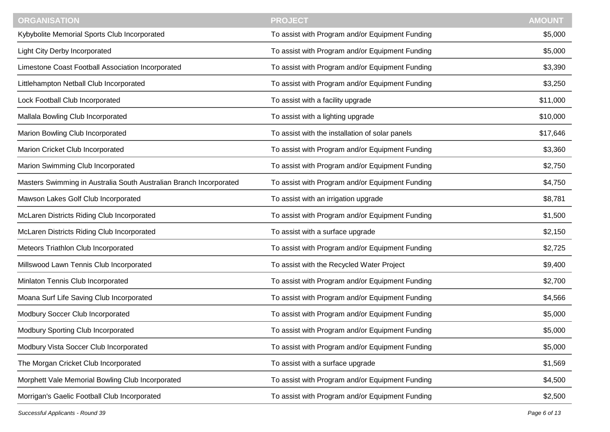| <b>ORGANISATION</b>                                                | <b>PROJECT</b>                                  | <b>AMOUNT</b> |
|--------------------------------------------------------------------|-------------------------------------------------|---------------|
| Kybybolite Memorial Sports Club Incorporated                       | To assist with Program and/or Equipment Funding | \$5,000       |
| Light City Derby Incorporated                                      | To assist with Program and/or Equipment Funding | \$5,000       |
| Limestone Coast Football Association Incorporated                  | To assist with Program and/or Equipment Funding | \$3,390       |
| Littlehampton Netball Club Incorporated                            | To assist with Program and/or Equipment Funding | \$3,250       |
| Lock Football Club Incorporated                                    | To assist with a facility upgrade               | \$11,000      |
| Mallala Bowling Club Incorporated                                  | To assist with a lighting upgrade               | \$10,000      |
| Marion Bowling Club Incorporated                                   | To assist with the installation of solar panels | \$17,646      |
| Marion Cricket Club Incorporated                                   | To assist with Program and/or Equipment Funding | \$3,360       |
| Marion Swimming Club Incorporated                                  | To assist with Program and/or Equipment Funding | \$2,750       |
| Masters Swimming in Australia South Australian Branch Incorporated | To assist with Program and/or Equipment Funding | \$4,750       |
| Mawson Lakes Golf Club Incorporated                                | To assist with an irrigation upgrade            | \$8,781       |
| McLaren Districts Riding Club Incorporated                         | To assist with Program and/or Equipment Funding | \$1,500       |
| McLaren Districts Riding Club Incorporated                         | To assist with a surface upgrade                | \$2,150       |
| Meteors Triathlon Club Incorporated                                | To assist with Program and/or Equipment Funding | \$2,725       |
| Millswood Lawn Tennis Club Incorporated                            | To assist with the Recycled Water Project       | \$9,400       |
| Minlaton Tennis Club Incorporated                                  | To assist with Program and/or Equipment Funding | \$2,700       |
| Moana Surf Life Saving Club Incorporated                           | To assist with Program and/or Equipment Funding | \$4,566       |
| Modbury Soccer Club Incorporated                                   | To assist with Program and/or Equipment Funding | \$5,000       |
| Modbury Sporting Club Incorporated                                 | To assist with Program and/or Equipment Funding | \$5,000       |
| Modbury Vista Soccer Club Incorporated                             | To assist with Program and/or Equipment Funding | \$5,000       |
| The Morgan Cricket Club Incorporated                               | To assist with a surface upgrade                | \$1,569       |
| Morphett Vale Memorial Bowling Club Incorporated                   | To assist with Program and/or Equipment Funding | \$4,500       |
| Morrigan's Gaelic Football Club Incorporated                       | To assist with Program and/or Equipment Funding | \$2,500       |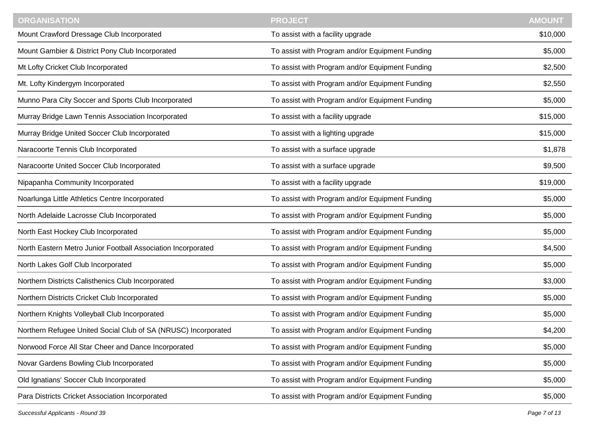| <b>ORGANISATION</b>                                            | <b>PROJECT</b>                                  | <b>AMOUNT</b> |
|----------------------------------------------------------------|-------------------------------------------------|---------------|
| Mount Crawford Dressage Club Incorporated                      | To assist with a facility upgrade               | \$10,000      |
| Mount Gambier & District Pony Club Incorporated                | To assist with Program and/or Equipment Funding | \$5,000       |
| Mt Lofty Cricket Club Incorporated                             | To assist with Program and/or Equipment Funding | \$2,500       |
| Mt. Lofty Kindergym Incorporated                               | To assist with Program and/or Equipment Funding | \$2,550       |
| Munno Para City Soccer and Sports Club Incorporated            | To assist with Program and/or Equipment Funding | \$5,000       |
| Murray Bridge Lawn Tennis Association Incorporated             | To assist with a facility upgrade               | \$15,000      |
| Murray Bridge United Soccer Club Incorporated                  | To assist with a lighting upgrade               | \$15,000      |
| Naracoorte Tennis Club Incorporated                            | To assist with a surface upgrade                | \$1,878       |
| Naracoorte United Soccer Club Incorporated                     | To assist with a surface upgrade                | \$9,500       |
| Nipapanha Community Incorporated                               | To assist with a facility upgrade               | \$19,000      |
| Noarlunga Little Athletics Centre Incorporated                 | To assist with Program and/or Equipment Funding | \$5,000       |
| North Adelaide Lacrosse Club Incorporated                      | To assist with Program and/or Equipment Funding | \$5,000       |
| North East Hockey Club Incorporated                            | To assist with Program and/or Equipment Funding | \$5,000       |
| North Eastern Metro Junior Football Association Incorporated   | To assist with Program and/or Equipment Funding | \$4,500       |
| North Lakes Golf Club Incorporated                             | To assist with Program and/or Equipment Funding | \$5,000       |
| Northern Districts Calisthenics Club Incorporated              | To assist with Program and/or Equipment Funding | \$3,000       |
| Northern Districts Cricket Club Incorporated                   | To assist with Program and/or Equipment Funding | \$5,000       |
| Northern Knights Volleyball Club Incorporated                  | To assist with Program and/or Equipment Funding | \$5,000       |
| Northern Refugee United Social Club of SA (NRUSC) Incorporated | To assist with Program and/or Equipment Funding | \$4,200       |
| Norwood Force All Star Cheer and Dance Incorporated            | To assist with Program and/or Equipment Funding | \$5,000       |
| Novar Gardens Bowling Club Incorporated                        | To assist with Program and/or Equipment Funding | \$5,000       |
| Old Ignatians' Soccer Club Incorporated                        | To assist with Program and/or Equipment Funding | \$5,000       |
| Para Districts Cricket Association Incorporated                | To assist with Program and/or Equipment Funding | \$5,000       |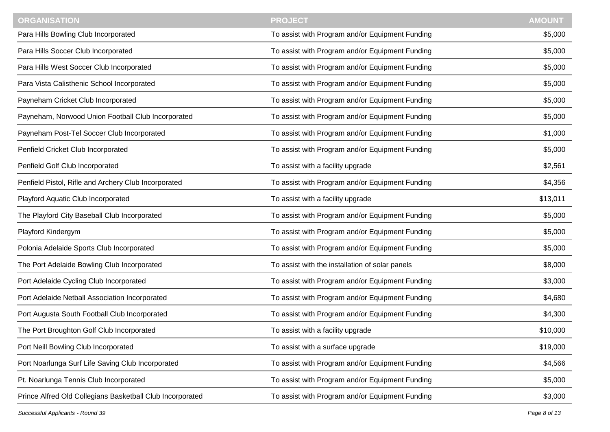| <b>ORGANISATION</b>                                       | <b>PROJECT</b>                                  | <b>AMOUNT</b> |
|-----------------------------------------------------------|-------------------------------------------------|---------------|
| Para Hills Bowling Club Incorporated                      | To assist with Program and/or Equipment Funding | \$5,000       |
| Para Hills Soccer Club Incorporated                       | To assist with Program and/or Equipment Funding | \$5,000       |
| Para Hills West Soccer Club Incorporated                  | To assist with Program and/or Equipment Funding | \$5,000       |
| Para Vista Calisthenic School Incorporated                | To assist with Program and/or Equipment Funding | \$5,000       |
| Payneham Cricket Club Incorporated                        | To assist with Program and/or Equipment Funding | \$5,000       |
| Payneham, Norwood Union Football Club Incorporated        | To assist with Program and/or Equipment Funding | \$5,000       |
| Payneham Post-Tel Soccer Club Incorporated                | To assist with Program and/or Equipment Funding | \$1,000       |
| Penfield Cricket Club Incorporated                        | To assist with Program and/or Equipment Funding | \$5,000       |
| Penfield Golf Club Incorporated                           | To assist with a facility upgrade               | \$2,561       |
| Penfield Pistol, Rifle and Archery Club Incorporated      | To assist with Program and/or Equipment Funding | \$4,356       |
| Playford Aquatic Club Incorporated                        | To assist with a facility upgrade               | \$13,011      |
| The Playford City Baseball Club Incorporated              | To assist with Program and/or Equipment Funding | \$5,000       |
| Playford Kindergym                                        | To assist with Program and/or Equipment Funding | \$5,000       |
| Polonia Adelaide Sports Club Incorporated                 | To assist with Program and/or Equipment Funding | \$5,000       |
| The Port Adelaide Bowling Club Incorporated               | To assist with the installation of solar panels | \$8,000       |
| Port Adelaide Cycling Club Incorporated                   | To assist with Program and/or Equipment Funding | \$3,000       |
| Port Adelaide Netball Association Incorporated            | To assist with Program and/or Equipment Funding | \$4,680       |
| Port Augusta South Football Club Incorporated             | To assist with Program and/or Equipment Funding | \$4,300       |
| The Port Broughton Golf Club Incorporated                 | To assist with a facility upgrade               | \$10,000      |
| Port Neill Bowling Club Incorporated                      | To assist with a surface upgrade                | \$19,000      |
| Port Noarlunga Surf Life Saving Club Incorporated         | To assist with Program and/or Equipment Funding | \$4,566       |
| Pt. Noarlunga Tennis Club Incorporated                    | To assist with Program and/or Equipment Funding | \$5,000       |
| Prince Alfred Old Collegians Basketball Club Incorporated | To assist with Program and/or Equipment Funding | \$3,000       |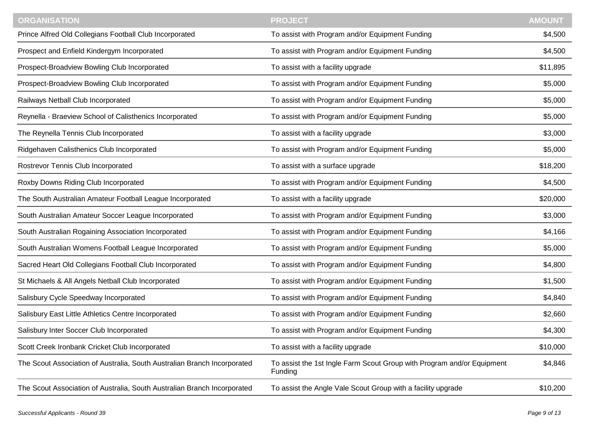| <b>ORGANISATION</b>                                                      | <b>PROJECT</b>                                                                    | <b>AMOUNT</b> |
|--------------------------------------------------------------------------|-----------------------------------------------------------------------------------|---------------|
| Prince Alfred Old Collegians Football Club Incorporated                  | To assist with Program and/or Equipment Funding                                   | \$4,500       |
| Prospect and Enfield Kindergym Incorporated                              | To assist with Program and/or Equipment Funding                                   | \$4,500       |
| Prospect-Broadview Bowling Club Incorporated                             | To assist with a facility upgrade                                                 | \$11,895      |
| Prospect-Broadview Bowling Club Incorporated                             | To assist with Program and/or Equipment Funding                                   | \$5,000       |
| Railways Netball Club Incorporated                                       | To assist with Program and/or Equipment Funding                                   | \$5,000       |
| Reynella - Braeview School of Calisthenics Incorporated                  | To assist with Program and/or Equipment Funding                                   | \$5,000       |
| The Reynella Tennis Club Incorporated                                    | To assist with a facility upgrade                                                 | \$3,000       |
| Ridgehaven Calisthenics Club Incorporated                                | To assist with Program and/or Equipment Funding                                   | \$5,000       |
| Rostrevor Tennis Club Incorporated                                       | To assist with a surface upgrade                                                  | \$18,200      |
| Roxby Downs Riding Club Incorporated                                     | To assist with Program and/or Equipment Funding                                   | \$4,500       |
| The South Australian Amateur Football League Incorporated                | To assist with a facility upgrade                                                 | \$20,000      |
| South Australian Amateur Soccer League Incorporated                      | To assist with Program and/or Equipment Funding                                   | \$3,000       |
| South Australian Rogaining Association Incorporated                      | To assist with Program and/or Equipment Funding                                   | \$4,166       |
| South Australian Womens Football League Incorporated                     | To assist with Program and/or Equipment Funding                                   | \$5,000       |
| Sacred Heart Old Collegians Football Club Incorporated                   | To assist with Program and/or Equipment Funding                                   | \$4,800       |
| St Michaels & All Angels Netball Club Incorporated                       | To assist with Program and/or Equipment Funding                                   | \$1,500       |
| Salisbury Cycle Speedway Incorporated                                    | To assist with Program and/or Equipment Funding                                   | \$4,840       |
| Salisbury East Little Athletics Centre Incorporated                      | To assist with Program and/or Equipment Funding                                   | \$2,660       |
| Salisbury Inter Soccer Club Incorporated                                 | To assist with Program and/or Equipment Funding                                   | \$4,300       |
| Scott Creek Ironbank Cricket Club Incorporated                           | To assist with a facility upgrade                                                 | \$10,000      |
| The Scout Association of Australia, South Australian Branch Incorporated | To assist the 1st Ingle Farm Scout Group with Program and/or Equipment<br>Funding | \$4,846       |
| The Scout Association of Australia, South Australian Branch Incorporated | To assist the Angle Vale Scout Group with a facility upgrade                      | \$10,200      |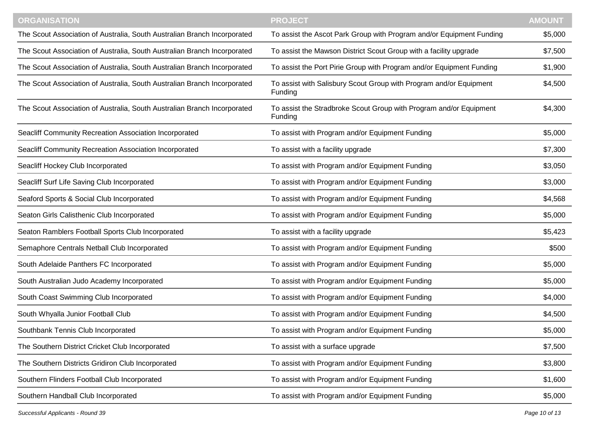| <b>ORGANISATION</b>                                                      | <b>PROJECT</b>                                                                | <b>AMOUNT</b> |
|--------------------------------------------------------------------------|-------------------------------------------------------------------------------|---------------|
| The Scout Association of Australia, South Australian Branch Incorporated | To assist the Ascot Park Group with Program and/or Equipment Funding          | \$5,000       |
| The Scout Association of Australia, South Australian Branch Incorporated | To assist the Mawson District Scout Group with a facility upgrade             | \$7,500       |
| The Scout Association of Australia, South Australian Branch Incorporated | To assist the Port Pirie Group with Program and/or Equipment Funding          | \$1,900       |
| The Scout Association of Australia, South Australian Branch Incorporated | To assist with Salisbury Scout Group with Program and/or Equipment<br>Funding | \$4,500       |
| The Scout Association of Australia, South Australian Branch Incorporated | To assist the Stradbroke Scout Group with Program and/or Equipment<br>Funding | \$4,300       |
| Seacliff Community Recreation Association Incorporated                   | To assist with Program and/or Equipment Funding                               | \$5,000       |
| Seacliff Community Recreation Association Incorporated                   | To assist with a facility upgrade                                             | \$7,300       |
| Seacliff Hockey Club Incorporated                                        | To assist with Program and/or Equipment Funding                               | \$3,050       |
| Seacliff Surf Life Saving Club Incorporated                              | To assist with Program and/or Equipment Funding                               | \$3,000       |
| Seaford Sports & Social Club Incorporated                                | To assist with Program and/or Equipment Funding                               | \$4,568       |
| Seaton Girls Calisthenic Club Incorporated                               | To assist with Program and/or Equipment Funding                               | \$5,000       |
| Seaton Ramblers Football Sports Club Incorporated                        | To assist with a facility upgrade                                             | \$5,423       |
| Semaphore Centrals Netball Club Incorporated                             | To assist with Program and/or Equipment Funding                               | \$500         |
| South Adelaide Panthers FC Incorporated                                  | To assist with Program and/or Equipment Funding                               | \$5,000       |
| South Australian Judo Academy Incorporated                               | To assist with Program and/or Equipment Funding                               | \$5,000       |
| South Coast Swimming Club Incorporated                                   | To assist with Program and/or Equipment Funding                               | \$4,000       |
| South Whyalla Junior Football Club                                       | To assist with Program and/or Equipment Funding                               | \$4,500       |
| Southbank Tennis Club Incorporated                                       | To assist with Program and/or Equipment Funding                               | \$5,000       |
| The Southern District Cricket Club Incorporated                          | To assist with a surface upgrade                                              | \$7,500       |
| The Southern Districts Gridiron Club Incorporated                        | To assist with Program and/or Equipment Funding                               | \$3,800       |
| Southern Flinders Football Club Incorporated                             | To assist with Program and/or Equipment Funding                               | \$1,600       |
| Southern Handball Club Incorporated                                      | To assist with Program and/or Equipment Funding                               | \$5,000       |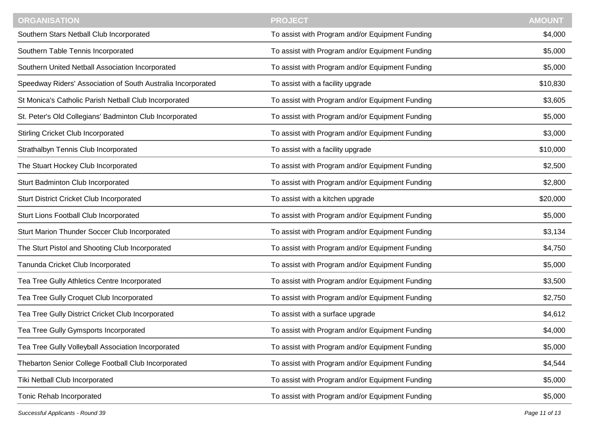| <b>ORGANISATION</b>                                          | <b>PROJECT</b>                                  | <b>AMOUNT</b> |
|--------------------------------------------------------------|-------------------------------------------------|---------------|
| Southern Stars Netball Club Incorporated                     | To assist with Program and/or Equipment Funding | \$4,000       |
| Southern Table Tennis Incorporated                           | To assist with Program and/or Equipment Funding | \$5,000       |
| Southern United Netball Association Incorporated             | To assist with Program and/or Equipment Funding | \$5,000       |
| Speedway Riders' Association of South Australia Incorporated | To assist with a facility upgrade               | \$10,830      |
| St Monica's Catholic Parish Netball Club Incorporated        | To assist with Program and/or Equipment Funding | \$3,605       |
| St. Peter's Old Collegians' Badminton Club Incorporated      | To assist with Program and/or Equipment Funding | \$5,000       |
| <b>Stirling Cricket Club Incorporated</b>                    | To assist with Program and/or Equipment Funding | \$3,000       |
| Strathalbyn Tennis Club Incorporated                         | To assist with a facility upgrade               | \$10,000      |
| The Stuart Hockey Club Incorporated                          | To assist with Program and/or Equipment Funding | \$2,500       |
| Sturt Badminton Club Incorporated                            | To assist with Program and/or Equipment Funding | \$2,800       |
| <b>Sturt District Cricket Club Incorporated</b>              | To assist with a kitchen upgrade                | \$20,000      |
| Sturt Lions Football Club Incorporated                       | To assist with Program and/or Equipment Funding | \$5,000       |
| Sturt Marion Thunder Soccer Club Incorporated                | To assist with Program and/or Equipment Funding | \$3,134       |
| The Sturt Pistol and Shooting Club Incorporated              | To assist with Program and/or Equipment Funding | \$4,750       |
| Tanunda Cricket Club Incorporated                            | To assist with Program and/or Equipment Funding | \$5,000       |
| Tea Tree Gully Athletics Centre Incorporated                 | To assist with Program and/or Equipment Funding | \$3,500       |
| Tea Tree Gully Croquet Club Incorporated                     | To assist with Program and/or Equipment Funding | \$2,750       |
| Tea Tree Gully District Cricket Club Incorporated            | To assist with a surface upgrade                | \$4,612       |
| Tea Tree Gully Gymsports Incorporated                        | To assist with Program and/or Equipment Funding | \$4,000       |
| Tea Tree Gully Volleyball Association Incorporated           | To assist with Program and/or Equipment Funding | \$5,000       |
| Thebarton Senior College Football Club Incorporated          | To assist with Program and/or Equipment Funding | \$4,544       |
| Tiki Netball Club Incorporated                               | To assist with Program and/or Equipment Funding | \$5,000       |
| Tonic Rehab Incorporated                                     | To assist with Program and/or Equipment Funding | \$5,000       |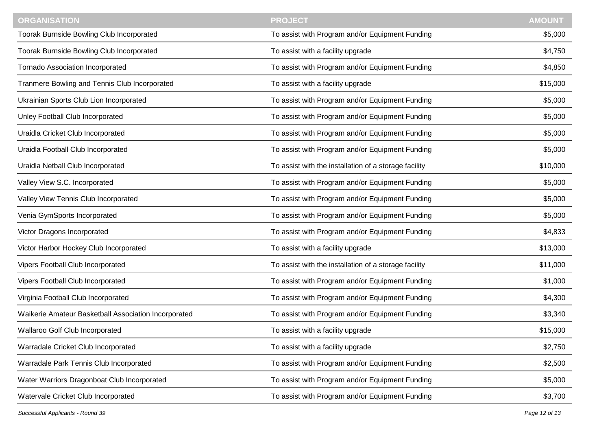| <b>ORGANISATION</b>                                  | <b>PROJECT</b>                                        | <b>AMOUNT</b> |
|------------------------------------------------------|-------------------------------------------------------|---------------|
| Toorak Burnside Bowling Club Incorporated            | To assist with Program and/or Equipment Funding       | \$5,000       |
| Toorak Burnside Bowling Club Incorporated            | To assist with a facility upgrade                     | \$4,750       |
| <b>Tornado Association Incorporated</b>              | To assist with Program and/or Equipment Funding       | \$4,850       |
| Tranmere Bowling and Tennis Club Incorporated        | To assist with a facility upgrade                     | \$15,000      |
| Ukrainian Sports Club Lion Incorporated              | To assist with Program and/or Equipment Funding       | \$5,000       |
| Unley Football Club Incorporated                     | To assist with Program and/or Equipment Funding       | \$5,000       |
| Uraidla Cricket Club Incorporated                    | To assist with Program and/or Equipment Funding       | \$5,000       |
| Uraidla Football Club Incorporated                   | To assist with Program and/or Equipment Funding       | \$5,000       |
| Uraidla Netball Club Incorporated                    | To assist with the installation of a storage facility | \$10,000      |
| Valley View S.C. Incorporated                        | To assist with Program and/or Equipment Funding       | \$5,000       |
| Valley View Tennis Club Incorporated                 | To assist with Program and/or Equipment Funding       | \$5,000       |
| Venia GymSports Incorporated                         | To assist with Program and/or Equipment Funding       | \$5,000       |
| Victor Dragons Incorporated                          | To assist with Program and/or Equipment Funding       | \$4,833       |
| Victor Harbor Hockey Club Incorporated               | To assist with a facility upgrade                     | \$13,000      |
| Vipers Football Club Incorporated                    | To assist with the installation of a storage facility | \$11,000      |
| Vipers Football Club Incorporated                    | To assist with Program and/or Equipment Funding       | \$1,000       |
| Virginia Football Club Incorporated                  | To assist with Program and/or Equipment Funding       | \$4,300       |
| Waikerie Amateur Basketball Association Incorporated | To assist with Program and/or Equipment Funding       | \$3,340       |
| Wallaroo Golf Club Incorporated                      | To assist with a facility upgrade                     | \$15,000      |
| Warradale Cricket Club Incorporated                  | To assist with a facility upgrade                     | \$2,750       |
| Warradale Park Tennis Club Incorporated              | To assist with Program and/or Equipment Funding       | \$2,500       |
| Water Warriors Dragonboat Club Incorporated          | To assist with Program and/or Equipment Funding       | \$5,000       |
| Watervale Cricket Club Incorporated                  | To assist with Program and/or Equipment Funding       | \$3,700       |

*Successful Applicants - Round 39 Page 12 of 13*